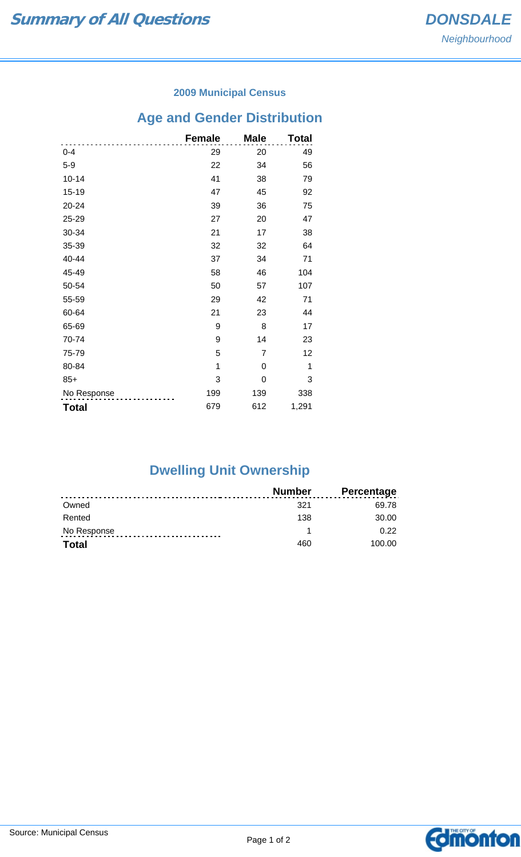### **2009 Municipal Census**

# **Age and Gender Distribution**

|              | <b>Female</b> | <b>Male</b> | <b>Total</b> |
|--------------|---------------|-------------|--------------|
| $0 - 4$      | 29            | 20          | 49           |
| $5-9$        | 22            | 34          | 56           |
| $10 - 14$    | 41            | 38          | 79           |
| $15 - 19$    | 47            | 45          | 92           |
| 20-24        | 39            | 36          | 75           |
| 25-29        | 27            | 20          | 47           |
| 30-34        | 21            | 17          | 38           |
| 35-39        | 32            | 32          | 64           |
| 40-44        | 37            | 34          | 71           |
| 45-49        | 58            | 46          | 104          |
| 50-54        | 50            | 57          | 107          |
| 55-59        | 29            | 42          | 71           |
| 60-64        | 21            | 23          | 44           |
| 65-69        | 9             | 8           | 17           |
| 70-74        | 9             | 14          | 23           |
| 75-79        | 5             | 7           | 12           |
| 80-84        | 1             | 0           | 1            |
| $85+$        | 3             | 0           | 3            |
| No Response  | 199           | 139         | 338          |
| <b>Total</b> | 679           | 612         | 1,291        |

# **Dwelling Unit Ownership**

|              | Number | <b>Percentage</b> |
|--------------|--------|-------------------|
| Owned        | 321    | 69.78             |
| Rented       | 138    | 30.00             |
| No Response  |        | 0.22              |
| <b>Total</b> | 460    | 100.00            |